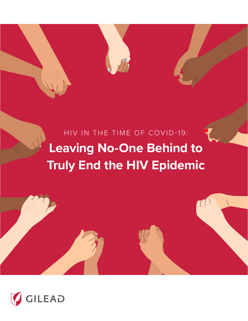HIV IN THE TIME OF COVID-19: **Leaving No-One Behind to Truly End the HIV Epidemic**



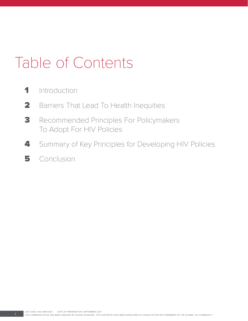## Table of Contents

- 1 Introduction
- 2 Barriers That Lead To Health Inequities
- **3** Recommended Principles For Policymakers To Adopt For HIV Policies
- 4 Summary of Key Principles for Developing HIV Policies
- 5 Conclusion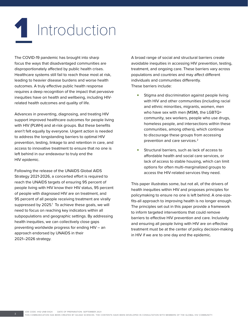# **1** Introduction

The COVID-19 pandemic has brought into sharp focus the ways that disadvantaged communities are disproportionately affected by public health crises. Healthcare systems still fail to reach those most at risk, leading to heavier disease burdens and worse health outcomes. A truly effective public health response requires a deep recognition of the impact that pervasive inequities have on health and wellbeing, including HIVrelated health outcomes and quality of life.

Advances in preventing, diagnosing, and treating HIV support improved healthcare outcomes for people living with HIV (PLWH) and at-risk groups. But these benefits aren't felt equally by everyone. Urgent action is needed to address the longstanding barriers to optimal HIV prevention, testing, linkage to and retention in care, and access to innovative treatment to ensure that no one is left behind in our endeavour to truly end the HIV epidemic.

Following the release of the UNAIDS Global AIDS Strategy 2021-2026, a concerted effort is required to reach the UNAIDS targets of ensuring 95 percent of people living with HIV know their HIV status, 95 percent of people with diagnosed HIV are on treatment, and 95 percent of all people receiving treatment are virally suppressed by 2025.<sup>1</sup> To achieve these goals, we will need to focus on reaching key indicators within all subpopulations and geographic settings. By addressing health inequities, we can collectively close gaps preventing worldwide progress for ending HIV – an approach endorsed by UNAIDS in their 2021–2026 strategy.

A broad range of social and structural barriers create avoidable inequities in accessing HIV prevention, testing, treatment, and ongoing care. These barriers vary across populations and countries and may affect different individuals and communities differently. These barriers include:

- Stigma and discrimination against people living with HIV and other communities (including racial and ethnic minorities, migrants, women, men who have sex with men (MSM), the LGBTQ+ community, sex workers, people who use drugs, homeless people, and intersections within these communities, among others), which continue to discourage these groups from accessing prevention and care services.2
- Structural barriers, such as lack of access to affordable health and social care services, or lack of access to stable housing, which can limit options for often multi-marginalized groups to access the HIV-related services they need.

This paper illustrates some, but not all, of the drivers of health inequities within HIV and proposes principles for policymaking to ensure no one is left behind. A one-sizefits-all approach to improving health is no longer enough. The principles set out in this paper provide a framework to inform targeted interventions that could remove barriers to effective HIV prevention and care. Inclusivity and ensuring all people living with HIV are on effective treatment must be at the center of policy decision-making in HIV if we are to one day end the epidemic.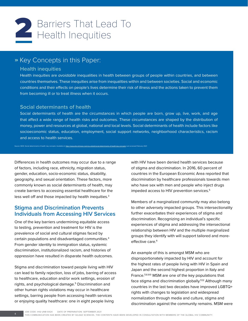

## » Key Concepts in this Paper:

#### **Health inequities**

Health inequities are *avoidable* inequalities in health between groups of people within countries, and between countries themselves. These inequities arise from inequalities within and between societies. Social and economic conditions and their effects on people's lives determine their risk of illness and the actions taken to prevent them from becoming ill or to treat illness when it occurs.

#### **Social determinants of health**

Social determinants of health are the circumstances in which people are born, grow up, live, work, and age that affect a wide range of health risks and outcomes. These circumstances are shaped by the distribution of money, power and resources at global, national and local levels. Social determinants of health include factors like socioeconomic status, education, employment, social support networks, neighborhood characteristics, racism and access to health services.

Source: WHO. Social determinants of health: key concepts. Available at: <https://www.who.int/news-room/q-a-detail/social-determinants-of-health-key-concepts>Last accessed February 2021

Differences in health outcomes may occur due to a range of factors, including race, ethnicity, migration status, gender, education, socio-economic status, disability, geography, and sexual orientation. These factors, more commonly known as social determinants of health, may create barriers to accessing essential healthcare for the less well off and those impacted by health inequities.<sup>3</sup>

## **Stigma and Discrimination Prevents Individuals from Accessing HIV Services**

One of the key barriers undermining equitable access to testing, prevention and treatment for HIV is the prevalence of social and cultural stigmas faced by certain populations and disadvantaged communities.4 From gender identity to immigration status, systemic discrimination, institutionalized racism, and histories of oppression have resulted in disparate health outcomes.

Stigma and discrimination toward people living with HIV can lead to family rejection, loss of jobs, barring of access to healthcare, education and/or work settings, erosion of rights, and psychological damage.5 Discrimination and other human rights violations may occur in healthcare settings, barring people from accessing health services or enjoying quality healthcare: one in eight people living

with HIV have been denied health services because of stigma and discrimination. In 2016, 60 percent of countries in the European Economic Area reported that discrimination by healthcare professionals towards men who have sex with men and people who inject drugs impeded access to HIV prevention services.<sup>5</sup>

Members of a marginalized community may also belong to other adversely impacted groups. This intersectionality further exacerbates their experiences of stigma and discrimination. Recognizing an individual's specific experiences of stigma and addressing the intersectional relationship between HIV and the multiple marginalized groups they identify with will support tailored and moreeffective care.<sup>6</sup>

An example of this is amongst MSM who are disproportionately impacted by HIV and account for the highest rates of people living with HIV in Spain and Japan and the second highest proportion in Italy and France.<sup>7,8,9,10</sup> MSM are one of the key populations that face stigma and discrimination globally.<sup>11,12</sup> Although many countries in the last two decades have improved LGBTQ+ rights with changes to legislation and widespread normalization through media and culture, stigma and discrimination against the community remains. MSM were

JOB CODE: IHQ-UNB-0424 DATE OF PREPARATION: SEPTEMBER 2021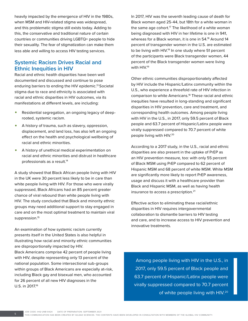heavily impacted by the emergence of HIV in the 1980s, when MSM and HIV-related stigma was widespread, and this problematic stigma still exists today. Adding to this, the conservative and traditional nature of certain countries or communities driving LGBTQ+ people to hide their sexuality. The fear of stigmatization can make them less able and willing to access HIV testing services.

## **Systemic Racism Drives Racial and Ethnic Inequities in HIV**

Racial and ethnic health disparities have been well documented and discussed and continue to pose enduring barriers to ending the HIV epidemic.13 Societal stigma due to race and ethnicity is associated with racial and ethnic disparities in HIV outcomes, via its manifestations at different levels, are including:

- Residential segregation, an ongoing legacy of deeprooted, systemic racism.
- A history of trauma, such as slavery, oppression, displacement, and land loss, has also left an ongoing effect on the health and psychological wellbeing of racial and ethnic minorities.
- A history of unethical medical experimentation on racial and ethnic minorities and distrust in healthcare professionals as a result.14

A study showed that Black African people living with HIV in the UK were 30 percent less likely to be in care than white people living with HIV. For those who were virally suppressed, Black Africans had an 85 percent greater chance of viral rebound than white people living with HIV. The study concluded that Black and minority ethnic groups may need additional support to stay engaged in care and on the most optimal treatment to maintain viral suppression.<sup>15</sup>

An examination of how systemic racism currently presents itself in the United States is also helpful in illustrating how racial and minority ethnic communities are disproportionally impacted by HIV. Black Americans comprise 42 percent of people living with HIV, despite representing only 13 percent of the national population. Some intersectional sub-groups within groups of Black Americans are especially at-risk, including Black gay and bisexual men, who accounted for 26 percent of all new HIV diagnoses in the U.S. in 2017.16

In 2017, HIV was the seventh leading cause of death for Black women aged 25-44, but 18th for a white woman in the same age cohort.<sup>17</sup> The likelihood of a white woman being diagnosed with HIV in her lifetime is one in 941, whereas for a Black woman, it is one in 54.18 Around 14 percent of transgender women in the U.S. are estimated to be living with HIV.<sup>19</sup> In one study where 51 percent of the participants were Black transgender women, 44 percent of the Black transgender women were living with HIV.<sup>19</sup>

Other ethnic communities disproportionately affected by HIV include the Hispanic/Latinx community within the U.S., who experience a threefold rate of HIV infection in comparison to white Americans.18 These racial and ethnic inequities have resulted in long-standing and significant disparities in HIV prevention, care and treatment, and corresponding health outcomes. Among people living with HIV in the U.S., in 2017, only 59.5 percent of Black people and 63.7 percent of Hispanic/Latinx people were virally suppressed compared to 70.7 percent of white people living with HIV.20

According to a 2017 study, in the U.S., racial and ethnic disparities are also present in the uptake of PrEP as an HIV prevention measure, too: with only 55 percent of Black MSM using PrEP compared to 62 percent of Hispanic MSM and 68 percent of white MSM. White MSM are significantly more likely to report PrEP awareness, usage and discuss it with a healthcare provider than Black and Hispanic MSM, as well as having health insurance to access a prescription.<sup>21</sup>

Effective action to eliminating these racial/ethnic disparities in HIV requires intergovernmental collaboration to dismantle barriers to HIV testing and care, and to increase access to HIV prevention and innovative treatments.

Among people living with HIV in the U.S., in 2017, only 59.5 percent of Black people and 63.7 percent of Hispanic/Latinx people were virally suppressed compared to 70.7 percent of white people living with HIV.<sup>20</sup>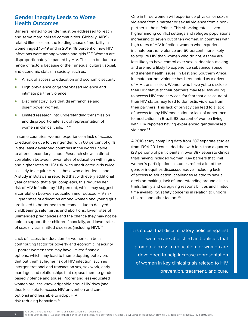## **Gender Inequity Leads to Worse Health Outcomes**

Barriers related to gender must be addressed to reach and serve marginalized communities. Globally, AIDSrelated illnesses are the leading cause of mortality in women aged 15-49 and in 2019, 48 percent of new HIV infections were among women and girls.<sup>22,23</sup> Women are disproportionately impacted by HIV. This can be due to a range of factors because of their unequal cultural, social, and economic status in society, such as:

- A lack of access to education and economic security.
- High prevalence of gender-based violence and intimate partner violence.
- Discriminatory laws that disenfranchise and disempower women.
- Limited research into understanding transmission and disproportionate lack of representation of women in clinical trials.<sup>2,24,25</sup>

In some countries, women experience a lack of access to education due to their gender, with 60 percent of girls in the least developed countries in the world unable to attend secondary school. Research shows a direct correlation between lower rates of education within girls and higher rates of HIV risk, with uneducated girls twice as likely to acquire HIV as those who attended school. A study in Botswana reported that with every additional year of school that a girl completes, this reduces her risk of HIV infection by 11.6 percent, which may suggest a correlation between education and reduced HIV risk. Higher rates of education among women and young girls are linked to better health outcomes, due to delayed childbearing, safer births and abortions, lower rates of unintended pregnancies and the chance they may not be able to support their children financially, and lower rates of sexually transmitted diseases (including HIV).<sup>24</sup>

Lack of access to education for women can be a contributing factor for poverty and economic insecurity – poorer women then may have limited financial options, which may lead to them adopting behaviors that put them at higher risk of HIV infection, such as intergenerational and transaction sex, sex work, early marriage, and relationships that expose them to genderbased violence and abuse. Poorer and less-educated women are less knowledgeable about HIV risks (and thus less able to access HIV prevention and care options) and less able to adopt HIV risk-reducing behaviors.24

One in three women will experience physical or sexual violence from a partner or sexual violence from a nonpartner in their lifetime. This shocking rate is even higher among conflict settings and refugee populations, increasing to seven out of ten women. In countries with high rates of HIV infection, women who experience intimate partner violence are 50 percent more likely to acquire HIV than women who do not, as they are less likely to have control over sexual decision-making and are more likely to experience substance abuse and mental health issues. In East and Southern Africa, intimate partner violence has been noted as a driver of HIV transmission. Women who have yet to disclose their HIV status to their partners may feel less willing to access HIV care services, for fear that disclosure of their HIV status may lead to domestic violence from their partners. This lack of privacy can lead to a lack of access to any HIV medication or lack of adherence to medication. In Brazil, 98 percent of women living with HIV reported having experienced gender-based violence.<sup>24</sup>

A 2016 study compiling data from 387 separate studies from 1994-2011 concluded that with less than a quarter (23 percent) of participants in over 387 separate clinical trials having included women. Key barriers that limit women's participation in studies reflect a lot of the gender inequities discussed above, including lack of access to education, challenges related to sexual decision-making, lack of understanding around clinical trials, family and caregiving responsibilities and limited time availability, safety concerns in relation to unborn children and other factors.26

It is crucial that discriminatory policies against women are abolished and policies that promote access to education for women are developed to help increase representation of women in key clinical trials related to HIV prevention, treatment, and cure.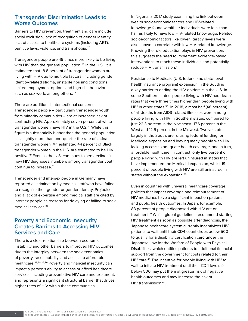## **Transgender Discrimination Leads to Worse Outcomes**

Barriers to HIV prevention, treatment and care include social exclusion, lack of recognition of gender identity, lack of access to healthcare systems (including ART), punitive laws, violence, and transphobia.<sup>27</sup>

Transgender people are 49 times more likely to be living with HIV than the general population.<sup>28</sup> In the U.S., it is estimated that 18.8 percent of transgender women are living with HIV due to multiple factors, including gender identity-related stigma, unstable housing conditions, limited employment options and high-risk behaviors such as sex work, among others.<sup>29</sup>

There are additional, intersectional concerns. Transgender people – particularly transgender youth from minority communities – are at increased risk of contracting HIV. Approximately seven percent of white transgender women have HIV in the U.S.<sup>30</sup> While this figure is substantially higher than the general population, it is slightly more than one-quarter the rate of Latina transgender women. An estimated 44 percent of Black transgender women in the U.S. are estimated to be HIV positive.19 Even as the U.S. continues to see declines in new HIV diagnoses, numbers among transgender youth continue to increase.<sup>31</sup>

Transgender and intersex people in Germany have reported discrimination by medical staff who have failed to recognize their gender or gender identity. Prejudice and a lack of expertise among medical staff are cited by intersex people as reasons for delaying or failing to seek medical services.32

## **Poverty and Economic Insecurity Creates Barriers to Accessing HIV Services and Care**

There is a clear relationship between economic instability and other barriers to improved HIV outcomes due to the interplay between the socioeconomics of poverty, race, mobility, and access to affordable healthcare.33,34,35,36 Poverty and financial insecurity can impact a person's ability to access or afford healthcare services, including preventative HIV care and treatment, and represents a significant structural barrier that drives higher rates of HIV within these communities.

In Nigeria, a 2017 study examining the link between wealth socioeconomic factors and HIV-related knowledge found wealthier individuals were less than half as likely to have low HIV-related knowledge. Related socioeconomic factors like lower literacy levels were also shown to correlate with low HIV-related knowledge. Knowing the role education plays in HIV prevention, this suggests the need to implement evidence-based interventions to reach these individuals and potentially reduce HIV transmission.<sup>37</sup>

Resistance to Medicaid (U.S. federal and state-level health insurance program) expansion in the South is a key barrier to ending the HIV epidemic in the U.S. In some Southern states, people living with HIV had death rates that were three times higher than people living with HIV in other states.<sup>38</sup> In 2018, almost half (48 percent) of all deaths from AIDS-related illnesses were among people living with HIV in Southern states, compared to just 22.3 percent in the Northeast, 17.6 percent in the West and 12.5 percent in the Midwest. Twelve states, largely in the South, are refusing federal funding for Medicaid expansion and leaving many people with HIV lacking access to adequate health coverage, and in turn, affordable healthcare. In contrast, only five percent of people living with HIV are left uninsured in states that have implemented the Medicaid expansion, whilst 19 percent of people living with HIV are still uninsured in states without the expansion.<sup>39</sup>

Even in countries with universal healthcare coverage, policies that impact coverage and reimbursement of HIV medicines have a significant impact on patient and public health outcomes. In Japan, for example, 83 percent of people diagnosed with HIV are on treatment.10 Whilst global guidelines recommend starting HIV treatment as soon as possible after diagnosis, the Japanese healthcare system currently incentivizes HIV patients to wait until their CD4 count drops below 500 to qualify for a disability certification card under the Japanese Law for the Welfare of People with Physical Disabilities, which entitles patients to additional financial support from the government for costs related to their HIV care.40 The incentive for people living with HIV to wait to initiate HIV treatment until their CD4 levels fall below 500 may put them at greater risk of negative health outcomes and may increase the risk of HIV transmission.<sup>41</sup>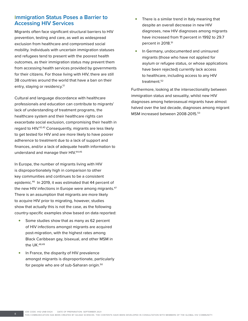## **Immigration Status Poses a Barrier to Accessing HIV Services**

Migrants often face significant structural barriers to HIV prevention, testing and care, as well as widespread exclusion from healthcare and compromised social mobility. Individuals with uncertain immigration statuses and refugees tend to present with the poorest health outcomes, as their immigration status may prevent them from accessing health services provided by governments for their citizens. For those living with HIV, there are still 38 countries around the world that have a ban on their entry, staying or residency.<sup>12</sup>

Cultural and language discordance with healthcare professionals and education can contribute to migrants' lack of understanding of treatment programs, the healthcare system and their healthcare rights can exacerbate social exclusion, compromising their health in regard to HIV.42,43 Consequently, migrants are less likely to get tested for HIV and are more likely to have poorer adherence to treatment due to a lack of support and finances, and/or a lack of adequate health information to understand and manage their HIV.44,45

In Europe, the number of migrants living with HIV is disproportionately high in comparison to other key communities and continues to be a consistent epidemic.46 In 2019, it was estimated that 44 percent of the new HIV infections in Europe were among migrants.<sup>47</sup> There is an assumption that migrants are more likely to acquire HIV prior to migrating, however, studies show that actually this is not the case, as the following country-specific examples show based on data reported:

- Some studies show that as many as 62 percent of HIV infections amongst migrants are acquired post-migration, with the highest rates among Black Caribbean gay, bisexual, and other MSM in the UK.48,49
- In France, the disparity of HIV prevalence amongst migrants is disproportionate, particularly for people who are of sub-Saharan origin.<sup>50</sup>
- There is a similar trend in Italy meaning that despite an overall decrease in new HIV diagnoses, new HIV diagnoses among migrants have increased from 11 percent in 1992 to 29.7 percent in 2018.<sup>51</sup>
- In Germany, undocumented and uninsured migrants (those who have not applied for asylum or refugee status, or whose applications have been rejected) currently lack access to healthcare, including access to any HIV treatment.<sup>52</sup>

Furthermore, looking at the intersectionality between immigration status and sexuality, whilst new HIV diagnoses among heterosexual migrants have almost halved over the last decade, diagnoses among migrant MSM increased between 2008-2015.<sup>53</sup>

JOB CODE: IHQ-UNB-0424 DATE OF PREPARATION: SEPTEMBER 2021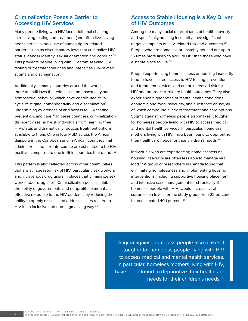## **Criminalization Poses a Barrier to Accessing HIV Services**

Many people living with HIV face additional challenges in receiving testing and treatment (and often live-saving health services) because of human rights-related barriers, such as discriminatory laws that criminalize HIV status, gender identity, sexual orientation and conduct.<sup>54</sup> This prevents people living with HIV from seeking HIV testing or treatment services and intensifies HIV-related stigma and discrimination.

Additionally, in many countries around the world, there are still laws that criminalize homosexuality and homosexual behavior, which have contributed to "a cycle of stigma, homonegativity and discrimination" undermining awareness of and access to HIV testing, prevention, and care.<sup>55</sup> In these countries, criminalization disincentivizes high-risk individuals from learning their HIV status and dramatically reduces treatment options available to them. One in four MSM across the African diaspora in the Caribbean and in African countries that criminalize same-sex intercourse are estimated to be HIV positive, compared to one in 15 in countries that do not.<sup>56</sup>

This pattern is also reflected across other communities that are at increased risk of HIV, particularly sex workers and intravenous drug users in places that criminalize sex work and/or drug use.<sup>57</sup> Criminalization policies inhibit the ability of governments and nonprofits to mount an effective response to the HIV epidemic by reducing the ability to openly discuss and address issues related to HIV in an inclusive and non-stigmatizing way.<sup>54</sup>

## **Access to Stable Housing is a Key Driver of HIV Outcomes**

Among the many social determinants of health, poverty and specifically housing insecurity have significant negative impacts on HIV-related risk and outcomes.58 People who are homeless or unstably housed are up to 16 times more likely to acquire HIV than those who have a stable place to live.<sup>59</sup>

People experiencing homelessness or housing insecurity tend to have limited access to HIV testing, prevention and treatment services and are at increased risk for HIV and poorer HIV-related health outcomes. They also experience higher rates of mental health conditions, economic and food insecurity, and substance abuse, all of which compound a lack of treatment and care options. Stigma against homeless people also makes it tougher for homeless people living with HIV to access medical and mental health services. In particular, homeless mothers living with HIV, have been found to deprioritize their healthcare needs for their children's needs.<sup>60</sup>

Individuals who are experiencing homelessness or housing insecurity are often less able to manage viral load.59 A group of researchers in Canada found that eliminating homelessness and implementing housing interventions (including supportive housing placement and intensive case management for chronically ill homeless people with HIV) would increase viral suppression levels for the study group from 22 percent to an estimated 40.1 percent.<sup>60</sup>

Stigma against homeless people also makes it tougher for homeless people living with HIV to access medical and mental health services. In particular, homeless mothers living with HIV, have been found to deprioritize their healthcare needs for their children's needs.<sup>60</sup>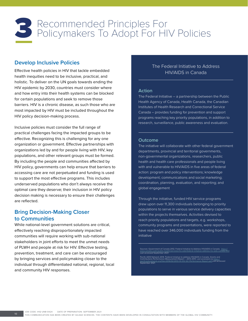## Recommended Principles For<br>3 Policymakers To Adopt For HIV Policies

## **Develop Inclusive Policies**

Effective health policies in HIV that tackle embedded health inequities need to be inclusive, practical, and holistic. To deliver on the UN goals towards ending the HIV epidemic by 2030, countries must consider where and how entry into their health systems can be blocked for certain populations and seek to remove those barriers. HIV is a chronic disease, as such those who are most impacted by HIV must be included throughout the HIV policy decision-making process.

Inclusive policies must consider the full range of practical challenges facing the impacted groups to be effective. Recognizing this is challenging for any one organization or government. Effective partnerships with organizations led by and for people living with HIV, key populations, and other relevant groups must be formed. By including the people and communities affected by HIV policy, governments can help ensure that barriers to accessing care are not perpetuated and funding is used to support the most effective programs. This includes underserved populations who don't always receive the optimal care they deserve; their inclusion in HIV policy decision making is necessary to ensure their challenges are reflected.

## **Bring Decision-Making Closer to Communities**

While national-level government solutions are critical, effectively reaching disproportionately impacted communities will require working with sub-national stakeholders in joint efforts to meet the unmet needs of PLWH and people at risk for HIV. Effective testing, prevention, treatment, and care can be encouraged by bringing services and policymaking closer to the individual through differentiated national, regional, local and community HIV responses.

## The Federal Initiative to Address HIV/AIDS in Canada

#### **Action**

The Federal Initiative – a partnership between the Public Health Agency of Canada, Health Canada, the Canadian Institutes of Health Research and Correctional Service Canada – provides funding for prevention and support programs reaching key priority populations, in addition to research, surveillance, public awareness and evaluation.

#### **Outcome**

The initiative will collaborate with other federal government departments, provincial and territorial governments, non-governmental organizations, researchers, public health and health care professionals and people living with and vulnerable to HIV/AIDS in five areas of federal action: program and policy interventions; knowledge development; communications and social marketing; coordination, planning, evaluation, and reporting; and global engagement

Through the initiative, funded HIV service programs drew upon over 11,300 individuals belonging to priority populations to serve in various service delivery capacities within the projects themselves. Activities devised to reach priority populations and targets, e.g. workshops, community programs and presentations, were reported to have reached over 346,000 individuals funding from the initiative

Sources: Government of Canada 2012, Federal Initiative to Address HIV/AIDS in Canada. <u>[https://](https://www.canada.ca/en/public-health/services/hiv-aids/federal-initiative-address-hiv-aids-canada.html )</u><br>[www.canada.ca/en/public-health/services/hiv-aids/federal-initiative-address-hiv-aids-canada.html](https://www.canada.ca/en/public-health/services/hiv-aids/federal-initiative-address-hiv-aids-canada.html ) www.canada.ca/en/public-health<br>Last accessed September 2021.

Pacific AIDS Network 2014. Federal Initiative to address HIV/AIDS in Canada. Grants and<br>Contributions Performance Measurement Report – 2013-2014. Last accessed via <u>https://</u><br>pacificaidsnetwork.org/files/2016/02/2013-14-HI <u>pacificaldshetwo</u><br>September 2021

JOB CODE: IHQ-UNB-0424 DATE OF PREPARATION: SEPTEMBER 2021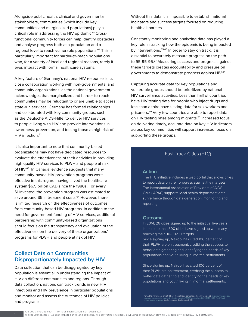Alongside public health, clinical and governmental stakeholders, communities (which include key communities and marginalized populations) play a critical role in addressing the HIV epidemic.<sup>61</sup> Crossfunctional community forces can help identify obstacles and analyse progress both at a population and a regional level to reach vulnerable populations.<sup>62</sup> This is particularly important for harder-to-reach populations who, for a variety of local and regional reasons, rarely if ever, interact with formal healthcare systems.

A key feature of Germany's national HIV response is its close collaboration working with non-governmental and community organizations, as the national government acknowledges that marginalized and harder-to-reach communities may be reluctant to or are unable to access state-run services. Germany has formed relationships and collaborated with key community groups, such as the Deutsche AIDS-Hilfe, to deliver HIV services to people living with HIV and provide interventions in awareness, prevention, and testing those at high risk of HIV infection.<sup>52</sup>

It is also important to note that community-based organizations may not have dedicated resources to evaluate the effectiveness of their activities in providing high quality HIV services to PLWH and people at risk of HIV.<sup>63</sup> In Canada, evidence suggests that many community-based HIV prevention programs were effective in this regard, having saved the healthcare system \$6.5 billion CAD since the 1980s. For every \$1 invested, the prevention program was estimated to save around \$5 in treatment costs.<sup>64</sup> However, there is limited research on the effectiveness of outcomes from community-based HIV programs. In addition to the need for government funding of HIV services, additional partnership with community-based organizations should focus on the transparency and evaluation of the effectiveness on the delivery of these organizations' programs for PLWH and people at risk of HIV.

## **Collect Data on Communities Disproportionately Impacted by HIV**

Data collection that can be disaggregated by key population is essential in understanding the impact of HIV on different communities and regions. Through data collection, nations can track trends in new HIV infections and HIV prevalence in particular populations and monitor and assess the outcomes of HIV policies and programs.

Without this data it is impossible to establish national indicators and success targets focused on reducing health disparities.

Constantly monitoring and analyzing data has played a key role in tracking how the epidemic is being impacted by interventions.<sup>65,66</sup> In order to stay on track, it is essential to accurately measure progress on the path to 95-95-95.67 Measuring success and progress against these targets creates accountability and pressure on governments to demonstrate progress against HIV.<sup>68</sup>

Capturing accurate data for key populations and vulnerable groups should be prioritized by national HIV surveillance activities. Less than half of countries have HIV testing data for people who inject drugs and less than a third have testing data for sex workers and prisoners.69 Very few countries are able to report data on HIV testing rates among migrants.<sup>70</sup> Increased focus on delivering timely, accurate data on key HIV indicators across key communities will support increased focus on supporting these groups.

## Fast-Track Cities (FTC)

#### **Action**

The FTC initiative includes a web portal that allows cities to report data on their progress against their targets. The International Association of Providers of AIDS Care (IAPAC) supports local health department data surveillance through data generation, monitoring and reporting.

#### **Outcome**

In 2014, 26 cities signed up to the initiative; five years later, more than 300 cities have signed up with many reaching their 90-90-90 targets.

Since signing up, Nairobi has cited 100 percent of their PLWH are on treatment, crediting the success to better data gathering and identifying the needs of key populations and youth living in informal settlements

Since signing up, Nairobi has cited 100 percent of their PLWH are on treatment, crediting the success to better data gathering and identifying the needs of key populations and youth living in informal settlements.

UNAIDS. Five years on: 300 Fast-Track Cities come together. Available at: https://www.unaid g/en/resources/presscentre/teaturestories/2019/sej<br>.ies-come-together **Last accessed September 2021**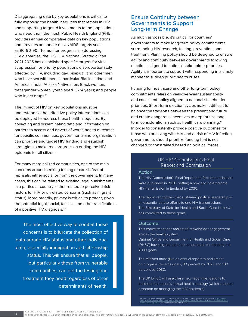Disaggregating data by key populations is critical to fully exposing the health inequities that remain in HIV and supporting targeted investments to the populations who need them the most. Public Health England (PHE) provides annual comparative data on key populations and provides an update on UNAIDS targets such as 90-90-90. To monitor progress in addressing HIV disparities, the U.S. HIV National Strategic Plan 2021-2025 has established specific targets for viral suppression for priority populations disproportionately affected by HIV, including gay, bisexual, and other men who have sex with men, in particular Black, Latino, and American Indian/Alaska Native men; Black women; transgender women; youth aged 13-24 years; and people who inject drugs.<sup>71</sup>

The impact of HIV on key populations must be understood so that effective policy interventions can be deployed to address these health inequities. By collecting and disseminating data and information on barriers to access and drivers of worse health outcomes for specific communities, governments and organizations can prioritize and target HIV funding and establish strategies to make real progress on ending the HIV epidemic for all citizens.

For many marginalized communities, one of the main concerns around seeking testing or care is fear of reprisals, either social or from the government. In many cases, this can be related to existing legal punishments in a particular country, either related to perceived risk factors for HIV or unrelated concerns (such as migrant status). More broadly, privacy is critical to protect, given the potential legal, social, familial, and other ramifications of a positive HIV diagnosis.72

The most effective way to combat these concerns is to bifurcate the collection of data around HIV status and other individual data, especially immigration and citizenship status. This will ensure that all people, but particularly those from vulnerable communities, can get the testing and treatment they need regardless of other determinants of health.

## **Ensure Continuity between Governments to Support Long-term Change**

As much as possible, it's critical for countries' governments to make long-term policy commitments surrounding HIV research, testing, prevention, and treatment. Planning policy should be designed to ensure agility and continuity between governments following elections, aligned to national stakeholder priorities. Agility is important to support with responding in a timely manner to sudden public health crises.

Funding for healthcare and other long-term policy commitments relies on year-over-year sustainability and consistent policy aligned to national stakeholder priorities. Short-term election cycles make it difficult to balance the tradeoffs between the present and future and create dangerous incentives to deprioritize longterm considerations such as health care planning. $73$ In order to consistently provide positive outcomes for those who are living with HIV and at risk of HIV infection, governments should prioritize funding that is not changed or constrained based on political forces.

#### UK HIV Commission's Final Report and Commission

#### **Action**

The HIV Commission's Final Report and Recommendations were published in 2020, setting a new goal to eradicate HIV transmission in England by 2030.

The report recognizes that sustained political leadership is an essential part to efforts to end HIV transmissions. The Secretary of State for Health and Social Care in the UK has committed to these goals..

#### **Outcome**

This commitment has facilitated stakeholder engagement across the health system.

Cabinet Office and Department of Health and Social Care (DHSC) have signed up to be accountable for meeting the 2030 goals.

The Minister must give an annual report to parliament on progress towards goals, 80 percent by 2025 and 100 percent by 2030.

The UK DHSC will use these new recommendations to build out the nation's sexual health strategy (which includes a section on managing the HIV epidemic)

Source: UNAIDS. Five years on: 300 Fast-Track Cities come together. Available at: htt unaids.org/en/resources/presscentre/featurestories/2019/september/20190910\_300-Fast-Track-<br><u>[cities-come-together](https://www. unaids.org/en/resources/presscentre/featurestories/2019/september/20190910_300-Fast-Track-cities-come-together)</u> L**ast accessed September 2021**.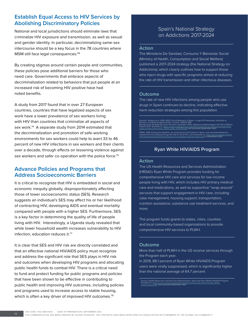## **Establish Equal Access to HIV Services by Abolishing Discriminatory Policies**

National and local jurisdictions should eliminate laws that criminalize HIV exposure and transmission, as well as sexual and gender identity. In particular, decriminalizing same-sex intercourse should be a key focus in the 78 countries where MSM still face legal consequences.<sup>56</sup>

By creating stigmas around certain people and communities, these policies pose additional barriers for those who need care. Governments that embrace aspects of decriminalization related to behaviors that put people at an increased risk of becoming HIV positive have had noted benefits.

A study from 2017 found that in over 27 European countries, countries that have legalized aspects of sex work have a lower prevalence of sex workers living with HIV than countries that criminalize all aspects of sex work.<sup>74</sup> A separate study from 2014 estimated that the decriminalization and promotion of safe-working environments for sex workers could help to avert 33 to 46 percent of new HIV infections in sex workers and their clients over a decade, through effects on lessening violence against sex workers and safer co-operation with the police force.<sup>75</sup>

## **Advance Policies and Programs that Address Socioeconomic Barriers**

It is critical to recognize that HIV is embedded in social and economic inequity globally, disproportionately affecting those of lower socioeconomic status (SES). Research suggests an individual's SES may affect his or her likelihood of contracting HIV, developing AIDS and eventual mortality compared with people with a higher SES. Furthermore, SES is a key factor in determining the quality of life of people living with HIV. Interestingly, a Uganda study revealed that while lower household wealth increases vulnerability to HIV infection, education reduces it.77

It is clear that SES and HIV risk are directly correlated and that an effective national HIV/AIDS policy must recognize and address the significant role that SES plays in HIV risk and outcomes when developing HIV programs and allocating public health funds to combat HIV. There is a critical need to fund and protect funding for public programs and policies that have been shown to be effective in contributing to public health and improving HIV outcomes, including policies and programs used to increase access to stable housing, which is often a key driver of improved HIV outcomes.<sup>78</sup>

## Spain's National Strategy on Addictions 2017-2024

#### **Action**

The Ministerio De Sanidad, Consumo Y Bienestar Social (Ministry of Health, Consumption and Social Welfare) published a 2017-2024 strategy (the National Strategy on Addictions), which clearly outlines how to support those who inject drugs with specific programs aimed at reducing the rate of HIV transmission and other infectious diseases.

#### **Outcome**

The rate of new HIV infections among people who use drugs in Spain continues to decline, indicating effective harm reduction strategies among this population.

Sources: Soriano et al. 2018. AlDS Clinical Research in Spain—Large HIV Population, Geniality of<br>Doctors, and Missing Opportunities. Viruses. 2018;10:293.<br>Ministerio de Sanidad Servicios Sociales e Igualdad. 2016. Vigilanc KPMG. 2019. Ending the epidemic: An assessment of HIV policy in Spain, and recommendations to<br>improve the lives of those living with and at risk of HIV. Last accessed via [https://assets.kpmg/content/](https://assets.kpmg/content/dam/kpmg/uk/pdf/2019/03/ending-the-hiv-epidemic-spanish-report.pdf)<br>dam/kpmg/uk/pdf/2019/0

## Ryan White HIV/AIDS Program

#### **Action**

The US Health Resources and Services Administration (HRSA)'s Ryan White Program provides funding for comprehensive HIV care and services for low-income people living with HIV, which includes HIV primary medical care and medications, as well as supportive "wrap-around" services that support engagement in HIV care, including case management, housing support, transportation, nutrition assistance, substance use treatment services, and more.

The program funds grants to states, cities, counties and local community-based organizations to provide comprehensive HIV services to PLWH.

#### **Outcome**

More than half of PLWH in the US receive services through the Program each year.

In 2019, 88.1 percent of Ryan White HIV/AIDS Program users were virally suppressed, which is significantly higher than the national average of 64.7 percent

Source: Health Resources and Services Administration. About the Ryan White HIV/AIDS Program.<br>Available at: h<u>ttps://www.unaids.org/sites/default/files/country/documents/CHN\_2018\_</u><br>[countryreport.pdf](https://www.unaids.org/sites/default/files/country/documents/CHN_2018_ countryreport.pdf) Last accessed September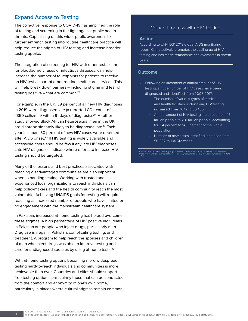## **Expand Access to Testing**

The collective response to COVID-19 has amplified the role of testing and screening in the fight against public health threats. Capitalizing on this wider public awareness to further entrench testing into routine healthcare practice will help reduce the stigma of HIV testing and increase broader testing uptake.

The integration of screening for HIV with other tests, either for bloodborne viruses or infectious diseases, can help increase the number of touchpoints for patients to receive an HIV test as part of other routine healthcare services. This will help break down barriers – including stigma and fear of testing positive  $-$  that are common.<sup>79</sup>

For example, in the UK, 39 percent of all new HIV diagnoses in 2019 were diagnosed late (a reported CD4 count of <350 cells/mm3 within 91 days of diagnosis).80 Another study showed Black African heterosexual men in the UK are disproportionately likely to be diagnosed late.<sup>81</sup> Each year in Japan, 30 percent of new HIV cases were detected after AIDS onset.<sup>82</sup> If HIV testing is widely available and accessible, there should be few if any late HIV diagnoses. Late HIV diagnoses indicate where efforts to increase HIV testing should be targeted.

Many of the lessons and best practices associated with reaching disadvantaged communities are also important when expanding testing. Working with trusted and experienced local organizations to reach individuals can help policymakers and the health community reach the most vulnerable. Achieving UNAIDS goals for testing will require reaching an increased number of people who have limited or no engagement with the mainstream healthcare system.

In Pakistan, increased at-home testing has helped overcome these stigmas. A high percentage of HIV positive individuals in Pakistan are people who inject drugs, particularly men. Drug use is illegal in Pakistan, complicating testing, and treatment. A program to help reach the spouses and children of men who inject drugs was able to improve testing and care for undiagnosed spouses by using at-home tests.<sup>83</sup>

With at-home testing options becoming more widespread, testing hard-to-reach individuals and communities is more achievable than ever. Countries and cities should support free testing options, particularly those that can be conducted from the comfort and anonymity of one's own home, particularly in places where cultural stigmas remain common.

## China's Progress with HIV Testing

#### **Action**

According to UNAIDS' 2018 global AIDS monitoring report, China actively promotes the scaling up of HIV testing and has made remarkable achievements in recent years.

#### **Outcome**

- Following an increment of annual amount of HIV testing, a huge number of HIV cases have been diagnosed and identified; from 2008-2017:
	- The number of various types of medical and health facilities undertaking HIV testing increased from 7,642 to 30,435
	- Annual amount of HIV testing increased from 45 million people to 201 million people, accounting for 3.4 percent to 14.5 percent of the whole population
	- Number of new cases identified increased from 56,362 to 134,512 cases

Source: UNAIDS. 2018. Country progress report – China. Global AIDS Monitoring. Last accessed via<br>[https://www.unaids.org/sites/default/files/country/documents/CHN\\_2018\\_countryreport.pdf](https://www.unaids.org/sites/default/files/country/documents/CHN_2018_countryreport.pd) in June 2021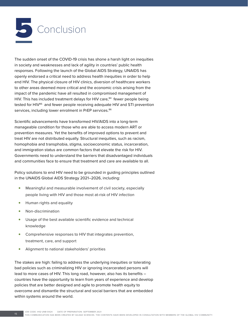

The sudden onset of the COVID-19 crisis has shone a harsh light on inequities in society and weaknesses and lack of agility in countries' public health responses. Following the launch of the Global AIDS Strategy, UNAIDS has openly endorsed a critical need to address health inequities in order to help end HIV. The physical closure of HIV clinics, diversion of healthcare workers to other areas deemed more critical and the economic crisis arising from the impact of the pandemic have all resulted in compromised management of HIV. This has included treatment delays for HIV care, $84$  fewer people being tested for HIV<sup>85</sup> and fewer people receiving adequate HIV and STI prevention services, including lower enrolment in PrEP services.<sup>86</sup>

Scientific advancements have transformed HIV/AIDS into a long-term manageable condition for those who are able to access modern ART or prevention measures. Yet the benefits of improved options to prevent and treat HIV are not distributed equally. Structural inequities, such as racism, homophobia and transphobia, stigma, socioeconomic status, incarceration, and immigration status are common factors that elevate the risk for HIV. Governments need to understand the barriers that disadvantaged individuals and communities face to ensure that treatment and care are available to all.

Policy solutions to end HIV need to be grounded in guiding principles outlined in the UNAIDS Global AIDS Strategy 2021–2026, including:

- Meaningful and measurable involvement of civil society, especially people living with HIV and those most at-risk of HIV infection
- Human rights and equality
- Non-discrimination
- Usage of the best available scientific evidence and technical knowledge
- Comprehensive responses to HIV that integrates prevention, treatment, care, and support
- Alignment to national stakeholders' priorities

The stakes are high: failing to address the underlying inequities or tolerating bad policies such as criminalizing HIV or ignoring incarcerated persons will lead to more cases of HIV. This long road, however, also has its benefits – countries have the opportunity to learn from years of experience and develop policies that are better designed and agile to promote health equity to overcome and dismantle the structural and social barriers that are embedded within systems around the world.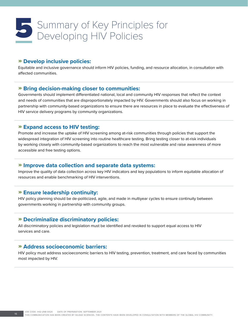# Summary of Key Principles for<br>Developing HIV Policies

#### » **Develop inclusive policies:**

Equitable and inclusive governance should inform HIV policies, funding, and resource allocation, in consultation with affected communities.

#### » **Bring decision-making closer to communities:**

Governments should implement differentiated national, local and community HIV responses that reflect the context and needs of communities that are disproportionately impacted by HIV. Governments should also focus on working in partnership with community-based organizations to ensure there are resources in place to evaluate the effectiveness of HIV service delivery programs by community organizations.

## » **Expand access to HIV testing:**

Promote and increase the uptake of HIV screening among at-risk communities through policies that support the widespread integration of HIV screening into routine healthcare testing. Bring testing closer to at-risk individuals by working closely with community-based organizations to reach the most vulnerable and raise awareness of more accessible and free testing options.

#### » **Improve data collection and separate data systems:**

Improve the quality of data collection across key HIV indicators and key populations to inform equitable allocation of resources and enable benchmarking of HIV interventions.

### » **Ensure leadership continuity:**

HIV policy planning should be de-politicized, agile, and made in multiyear cycles to ensure continuity between governments working in partnership with community groups.

#### » **Decriminalize discriminatory policies:**

All discriminatory policies and legislation must be identified and revoked to support equal access to HIV services and care.

#### » **Address socioeconomic barriers:**

HIV policy must address socioeconomic barriers to HIV testing, prevention, treatment, and care faced by communities most impacted by HIV.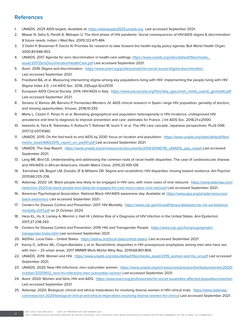## **References**

- 1. UNAIDS. 2025 AIDS targets. Available at:<https://aidstargets2025.unaids.org>Last accessed September 2021.
- 2. Mawar N, Saha S, Pandit A. Mahajan U. The third phase of HIV pandemic: Social consequences of HIV/AIDS stigma & discrimination & future needs. Indian J Med Res. 2005;122:471-484.
- 3. 3 Ostlin P, Braveman P, Dachs N. Priorities for research to take forward the health equity policy agenda. Bull World Health Organ. 2005;83:948-953.
- 4. UNAIDS. 2017. Agenda for zero discrimination in health-care settings. [https://www.unaids.org/sites/default/files/media\\_](https://www.unaids.org/sites/default/files/media_asset/2017ZeroDiscriminationHealthCare.pdf) [asset/2017ZeroDiscriminationHealthCare.pdf](https://www.unaids.org/sites/default/files/media_asset/2017ZeroDiscriminationHealthCare.pdf) Last accessed September 2021.
- 5. Avert. 2019. Stigma and discrimination. [https://www.avert.org/professionals/hiv-social-issues/stigma-discrimination](https://www.avert.org/professionals/hiv-social-issues/stigma-discrimination )  Last accessed September 2021.
- 6. Friedland BA, et al. Measuring intersecting stigma among key populations living with HIV: implementing the people living with HIV Stigma Index 2.0. J Int AIDS Soc. 2018, 21(Suppl.5):e25131.
- 7. European AIDS Clinical Society. 2014. HIV/AIDS in Italy. [https://www.eacsociety.org/files/italy\\_giacomeli\\_motta\\_suardi\\_girometti.pdf](https://www.eacsociety.org/files/italy_giacomeli_motta_suardi_girometti.pdf) Last accessed September 2021.
- 8. Soriano V, Ramos JM, Barreiro P, Fernandez-Montero JV. AIDS clinical research in Spain—large HIV population, geniality of doctors, and missing opportunities. Viruses. 2018;10:293.
- 9. Marty L, Cazein F, Penjo H, et al. Revealing geographical and population heterogeneity in HIV incidence, undiagnosed HIV prevalence and time to diagnosis to improve prevention and care: estimates for France. J Int AIDS Soc. 2018;21:e25100.
- 10. Iwamoto A, Taira R, Yokomaku Y, Koibuchi T, Rahman M, Izumi Y, et al. The HIV care cascade: Japanese perspectives. PLoS ONE. 2017;12:e0174360.
- 11. UNAIDS. 2015. On the fast-track to end AIDS by 2030: focus on location and population. [https://www.unaids.org/sites/default/files/](https://www.unaids.org/sites/default/files/media_asset/WAD2015_report_en_part01.pdf) [media\\_asset/WAD2015\\_report\\_en\\_part01.pdf](https://www.unaids.org/sites/default/files/media_asset/WAD2015_report_en_part01.pdf) Last accessed September 2021.
- 12. UNAIDS. The Gap Report. [https://www.unaids.org/en/resources/documents/2014/20140716\\_UNAIDS\\_gap\\_report L](https://www.unaids.org/en/resources/documents/2014/20140716_UNAIDS_gap_report )ast accessed September 2021.
- 13. Lang ME, Bird CE. Understanding and addressing the common roots of racial health disparities: The case of cardiovascular disease and HIV/AIDS in African-Americans. Health Matrix Cleve. 2015;25:109-128.
- 14. Earnshaw VA, Bogart LM, Dovidio JF & Williams DR. Stigma and racial/ethnic HIV disparities: moving toward resilience. Am Psychol. 2013;68:225-236.
- 15. Aidsmap. 2020. UK: Black people less likely to be engaged in HIV care, with more cases of viral rebound. [https://www.aidsmap.com/](https://www.aidsmap.com/news/nov-2020/uk-black-people-less-likely-be-engaged-hiv-care-more-cases-viral-rebound) [news/nov-2020/uk-black-people-less-likely-be-engaged-hiv-care-more-cases-viral-rebound](https://www.aidsmap.com/news/nov-2020/uk-black-people-less-likely-be-engaged-hiv-care-more-cases-viral-rebound) Last accessed September 2021..
- 16. American Psychological Association. National Black HIV/AIDS awareness day. Available at: [https://www.apa.org/pi/aids/resources/](https://www.apa.org/pi/aids/resources/black-awareness) black-awareness Last accessed September 2021.
- 17. Centers for Disease Control and Prevention. 2017. HIV Mortality. [https://www.cdc.gov/hiv/pdf/library/slidesets/cdc-hiv-surveillance](ttps://www.cdc.gov/hiv/pdf/library/slidesets/cdc-hiv-surveillance-mortality-2017.pdf)[mortality-2017.pdf](ttps://www.cdc.gov/hiv/pdf/library/slidesets/cdc-hiv-surveillance-mortality-2017.pdf) on 21 October 2020.
- 18. Hess KL, Hu X, Lansky A, Mermin J, Hall HI. Lifetime Risk of a Diagnosis of HIV Infection in the United States. Ann Epidemiol. 2017;27:238-243.
- 19. Centers for Disease Control and Prevention. 2019. HIV and Transgender People. [https://www.cdc.gov/hiv/group/gender/](https://www.cdc.gov/hiv/group/gender/transgender/index.html) [transgender/index.html](https://www.cdc.gov/hiv/group/gender/transgender/index.html) Last accessed September 2021.
- 20. AIDSVu. Local Data United States. <https://aidsvu.org/local-data/united-states/>Last accessed September 2021.
- 21. Kanny D, Jeffries WL, Chapin-Bardales J, et al. Racial/ethnic disparities in HIV preexposure prophylaxis among men who have sex with men – 23 urban areas, 2017. MMWR Morb Mortal Wkly Rep. 2019;68:801-806.
- 22. UNAIDS. 2019. Women and HIV. [https://www.unaids.org/sites/default/files/media\\_asset/2019\\_women-and-hiv\\_en.pdf](https://www.unaids.org/sites/default/files/media_asset/2019_women-and-hiv_en.pdf) Last accessed September 2021.
- 23. UNAIDS. 2020. New HIV Infections: men outnumber women. [https://www.unaids.org/en/resources/presscentre/featurestories/2020/](https://www.unaids.org/en/resources/presscentre/featurestories/2020/october/20201012_new-hiv-infections-men-outnumber-women) [october/20201012\\_new-hiv-infections-men-outnumber-women](https://www.unaids.org/en/resources/presscentre/featurestories/2020/october/20201012_new-hiv-infections-men-outnumber-women) Last accessed September 2021.
- 24. Avert. 2020. Women and Girls, HIV and AIDS. <https://www.avert.org/professionals/hiv-social-issues/key-affected-populations/women> Last accessed September 2021.
- 25. Aidsmap. 2020. Biological, clinical and ethical imperatives for involving diverse women in HIV clinical trials. [https://www.aidsmap.](https://www.aidsmap.com/news/oct-2020/biological-clinical-and-ethical-imperatives-involving-diverse-women-hiv-clinical) [com/news/oct-2020/biological-clinical-and-ethical-imperatives-involving-diverse-women-hiv-clinical](https://www.aidsmap.com/news/oct-2020/biological-clinical-and-ethical-imperatives-involving-diverse-women-hiv-clinical) Last accessed September 2021.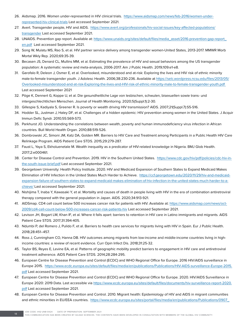- 26. Aidsmap. 2016. Women under-represented in HIV clinical trials. [https://www.aidsmap.com/news/feb-2016/women-under](https://www.aidsmap.com/news/feb-2016/women-under-represented-hiv-clinical-trials)[represented-hiv-clinical-trials](https://www.aidsmap.com/news/feb-2016/women-under-represented-hiv-clinical-trials) Last accessed September 2021.
- 27. Avert. Transgender people, HIV and AIDS. [https://www.avert.org/professionals/hiv-social-issues/key-affected-populations/](https://www.avert.org/professionals/hiv-social-issues/key-affected-populations/transgender) [transgender](https://www.avert.org/professionals/hiv-social-issues/key-affected-populations/transgender) Last accessed September 2021.
- 28. UNAIDS. Prevention gap report. Available at: [https://www.unaids.org/sites/default/files/media\\_asset/2016-prevention-gap-report\\_](https://www.unaids.org/sites/default/files/media_asset/2016-prevention-gap-report_en.pdf) [en.pdf](https://www.unaids.org/sites/default/files/media_asset/2016-prevention-gap-report_en.pdf) Last accessed September 2021.
- 29. Song W, Mulatu MS, Rao S, et al. HIV partner service delivery among transgender women-United States, 2013-2017. MMWR Morb Mortal Wkly Rep. 2020;69:35-39.
- 30. Becasen JS, Denard CL, Mullins MM, et al. Estimating the prevalence of HIV and sexual behaviors among the US transgender population: A systematic review and meta-analysis, 2006-2017. Am J Public Health. 2019;109:e1-e8.
- 31. Garofalo R, Deleon J, Osmer E, et al. Overlooked, misunderstood and at-risk: Exploring the lives and HIV risk of ethnic minority male-to-female transgender youth. J Adolesc Health. 2006;38:230-236. Available at [https://selc.wordpress.ncsu.edu/files/2013/05/](https://selc.wordpress.ncsu.edu/files/2013/05/Overlooked-misunderstood-and-at-risk-Exploring-the-lives-and-HIV-risk-of-ethnic-minority-male-to-female-transgender-youth.pdf) [Overlooked-misunderstood-and-at-risk-Exploring-the-lives-and-HIV-risk-of-ethnic-minority-male-to-female-transgender-youth.pdf](https://selc.wordpress.ncsu.edu/files/2013/05/Overlooked-misunderstood-and-at-risk-Exploring-the-lives-and-HIV-risk-of-ethnic-minority-male-to-female-transgender-youth.pdf) Last accessed September 202[1](https://selc.wordpress.ncsu.edu/files/2013/05/Overlooked-misunderstood-and-at-risk-Exploring-the-lives-and-HIV-risk-of-ethnic-minority-male-to-female-transgender-youth.pdf )
- 32. Pöge K, Dennert G, Koppe U, et al. Die gesundheitliche Lage von lesbischen, schwulen, bisexuellen sowie trans- und intergeschlechtlichen Menschen. Journal of Health Monitoring. 2020;5(Suppl.1):2-30.
- 33. Gillespie S, Kadiyala S, Greener R. Is poverty or wealth driving HIV transmission? AIDS. 2007;21(Suppl.7):S5-S16.
- 34. Hodder SL, Justman J, Haley DF, et al. Challenges of a hidden epidemic: HIV prevention among women in the United States. J Acquir Immun Defic Syndr. 2010;55:S69-S73.
- 35. Parkhurst JO. Understanding the correlations between wealth, poverty and human immunodeficiency virus infection in African countries. Bull World Health Organ. 2010;88:519-526.
- 36. Dombrowski JC, Simoni JM, Katz DA, Golden MR. Barriers to HIV Care and Treatment among Participants in a Public Health HIV Care Relinkage Program. AIDS Patient Care STDS. 2015;29:279-287.
- 37. Faust L, Yaya S, Ekholuenetale M. Wealth inequality as a predicator of HIV-related knowledge in Nigeria. BMJ Glob Health. 2017;2:e000461.
- 38. Center for Disease Control and Prevention. 2019. HIV in the Southern United States. [https://www.cdc.gov/hiv/pdf/policies/cdc-hiv-in](https://www.cdc.gov/hiv/pdf/policies/cdc-hiv-in-the-south-issue-brief.pdf)[the-south-issue-brief.pdf](https://www.cdc.gov/hiv/pdf/policies/cdc-hiv-in-the-south-issue-brief.pdf) Last accessed September 2021.
- 39. Georgetown University: Health Policy Institute. 2020. HIV and Medicaid Expansion of Southern States to Expand Medicaid Makes Elimination of HIV Infection in the United States Much Harder to Achieve. [https://ccf.georgetown.edu/2020/11/29/hiv-and-medicaid](https://ccf.georgetown.edu/2020/11/29/hiv-and-medicaid-expansion-failure-of-southern-states-to-expand-medicaid-makes-elimination-of-hiv-infection-in-the-united-states-much-harder-to-achieve/)[expansion-failure-of-southern-states-to-expand-medicaid-makes-elimination-of-hiv-infection-in-the-united-states-much-harder-to-a](https://ccf.georgetown.edu/2020/11/29/hiv-and-medicaid-expansion-failure-of-southern-states-to-expand-medicaid-makes-elimination-of-hiv-infection-in-the-united-states-much-harder-to-achieve/)[chieve/](https://ccf.georgetown.edu/2020/11/29/hiv-and-medicaid-expansion-failure-of-southern-states-to-expand-medicaid-makes-elimination-of-hiv-infection-in-the-united-states-much-harder-to-achieve/) Last accessed September 2021.
- 40. Nishijima T, Inaba Y, Kawasaki Y, et al. Mortality and causes of death in people living with HIV in the era of combination antiretroviral therapy compared with the general population in Japan. AIDS. 2020;34:913-921.
- 41. AIDSmap. CD4 cell count below 500 increases cancer risk for patients with HIV. Available at: [https://www.aidsmap.com/news/oct-](https://www.aidsmap.com/news/oct-2009/cd4-cell-count-below-500-increases-cancer-risk-patients-hiv)[2009/cd4-cell-count-below-500-increases-cancer-risk-patients-hiv](https://www.aidsmap.com/news/oct-2009/cd4-cell-count-below-500-increases-cancer-risk-patients-hiv) Last accessed September 2021.
- 42. Levison JH, Bogart LM, Khan IF, et al. Where it falls apart: barriers to retention in HIV care in Latino immigrants and migrants. AIDS Patient Care STDS. 2017;31:394-405.
- 43. Ndumbi P, del Romero J, Pulido F, et al. Barriers to health care services for migrants living with HIV in Spain. Eur J Public Health. 2018;28:451–457.
- 44. Ross J, Cunningham CO, Hanna DB. HIV outcomes among migrants from low-income and middle-income countries living in highincome countries: a review of recent evidence. Curr Opin Infect Dis. 2018;31:25-32.
- 45. Taylor BS, Reyes E, Levine EA, et al. Patterns of geographic mobility predict barriers to engagement in HIV care and antiretroviral treatment adherence. AIDS Patient Care STDS. 2014;28:284-295.
- 46. European Centre for Disease Prevention and Control (ECDC) and WHO Regional Office for Europe. 2016 HIV/AIDS surveillance in Europe 2015. [https://www.ecdc.europa.eu/sites/default/files/media/en/publications/Publications/HIV-AIDS-surveillance-Europe-2015.](https://www.ecdc.europa.eu/sites/default/files/media/en/publications/Publications/HIV-AIDS-surveillance-Europe-2015.pdf) [pdf](https://www.ecdc.europa.eu/sites/default/files/media/en/publications/Publications/HIV-AIDS-surveillance-Europe-2015.pdf) Last accessed September 2021.
- 47. European Centre for Disease Prevention and Control (ECDC) and WHO Regional Office for Europe. 2020. HIV/AIDS Surveillance in Europe 2020: 2019 Data. Last accessible via [https://www.ecdc.europa.eu/sites/default/files/documents/hiv-surveillance-report-2020](https://www.ecdc.europa.eu/sites/default/files/documents/hiv-surveillance-report-2020.pdf). pdf Last accessed September 2021.
- 48. European Centre for Disease Prevention and Control. 2010. Migrant health: Epidemiology of HIV and AIDS in migrant communities and ethnic minorities in EU/EEA countries. [https://www.ecdc.europa.eu/sites/portal/files/media/en/publications/Publications/0907\\_](https://www.ecdc.europa.eu/sites/portal/files/media/en/publications/Publications/0907_TER_Migrant_health_HIV_Epidemiology_review.pdf)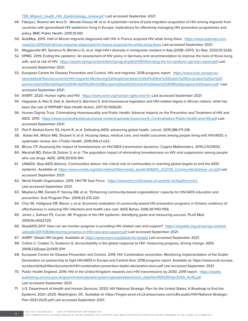[TER\\_Migrant\\_health\\_HIV\\_Epidemiology\\_review.pdf](https://www.ecdc.europa.eu/sites/portal/files/media/en/publications/Publications/0907_TER_Migrant_health_HIV_Epidemiology_review.pdf) Last accessed September 2021.

- 49. Fakoya I, Álvarez-del Arco D , Woode-Owusu M, et al. A systematic review of post-migration acquisition of HIV among migrants from countries with generalised HIV epidemics living in Europe: implications for effectively managing HIV prevention programmes and policy. BMC Public Health. 2015;15:561.
- 50. AidsMap. 2015. Half of African migrants diagnosed with HIV in France acquired HIV while living there. https://[www.aidsmap.com/](http://www.aidsmap.com/news/jul-2015/half-african-migrants-diagnosed-hiv-france-acquired-hiv-while-living-there) [news/jul-2015/half-african-migrants-diagnosed-hiv-france-acquired-hiv-while-living-there](http://www.aidsmap.com/news/jul-2015/half-african-migrants-diagnosed-hiv-france-acquired-hiv-while-living-there) Last accessed September 2021.
- 51. Maggiorella MT, Sanarico N, Btindicci G, et al. High HIV-1 diversity in immigrants resident in Italy (2008–2017). Sci Rep. 2020;10:3226.
- 52. KPMG. 2019. Ending the epidemic: An assessment of HIV policy in Germany and recommendation to improve the lives of those living with, and at risk of HIV. <https://assets.kpmg/content/dam/kpmg/uk/pdf/2019/03/ending-the-hiv-epidemic-german-report.pdf> Last accessed September 2021.
- 53. European Centre for Disease Prevention and Control. HIV and migrants: 2018 progress report. [https://www.ecdc.europa.eu/](https://www.ecdc.europa.eu/sites/default/files/documents/HIV-migrants-Monitoring%20implementation%20of%20the%20Dublin%20Declaration%20on%20partnership%20to%20fight%20HIV-AIDS%20in%20Europe%20and%20Central%20Asia%202018%20progress%20report.pdf) [sites/default/files/documents/HIV-migrants-Monitoring%20implementation%20of%20the%20Dublin%20Declaration%20on%20](https://www.ecdc.europa.eu/sites/default/files/documents/HIV-migrants-Monitoring%20implementation%20of%20the%20Dublin%20Declaration%20on%20partnership%20to%20fight%20HIV-AIDS%20in%20Europe%20and%20Central%20Asia%202018%20progress%20report.pdf) [partnership%20to%20fight%20HIV-AIDS%20in%20Europe%20and%20Central%20Asia%202018%20progress%20report.pdf](https://www.ecdc.europa.eu/sites/default/files/documents/HIV-migrants-Monitoring%20implementation%20of%20the%20Dublin%20Declaration%20on%20partnership%20to%20fight%20HIV-AIDS%20in%20Europe%20and%20Central%20Asia%202018%20progress%20report.pdf) Last accessed September 2021.
- 54. AVERT. 2020. Human rights and HIV. <https://www.avert.org/human-rights-and-hiv> Last accessed September 2021.
- 55. Hagopian A, Rao D, Katz A, Sanford S, Barnhart S. Anti-homosexual legislation and HIV-related stigma in African nations: what has been the role of PEPFAR? Glob Health Action. 2017;10:1306291.
- 56. Human Dignity Trust. Criminalising Homosexuality and Public Health: Adverse Impacts on the Prevention and Treatment of HIV and AIDS. 2015. <https://www.humandignitytrust.org/wp-content/uploads/resources/5.-Criminalisation-Public-Health-and-HIV.pdf>Last accessed September 2021.
- 57. Piot P, Abdool Karim SS, Hecht R, et al. Defeating AIDS–advancing global health. Lancet. 2015;386:171-218.
- 58. Aidala AA, Wilson MG, Shubert V, et al. Housing status, medical care, and health outcomes among people living with HIV/AIDS: a systematic review. Am J Public Health. 2016;106:e1-e23.
- 59. Bhunu CP. Assessing the impact of homelessness on HIV/AIDS transmission dynamics. Cogent Mathematics. 2015;2:1021602.
- 60. Marshall BD, Elston B, Dobrer S, et al. The population impact of eliminating homelessness on HIV viral suppression among people who use drugs. AIDS. 2016;30:933-941.
- 61. UNAIDS, Stop AIDS Alliance. Communities deliver: the critical role of communities in reaching global targets to end the AIDS epidemic. Available at: [https://www.unaids.org/sites/default/files/media\\_asset/UNAIDS\\_JC2725\\_CommunitiesDeliver\\_en.pdf](https://www.unaids.org/sites/default/files/media_asset/UNAIDS_JC2725_CommunitiesDeliver_en.pdf) Last accessed September 2021.
- 62. World Health Organization. 2015. HIV/TB Task Force. <https://www.who.int/tb/areas-of-work/tb-hiv/taskforce/en/> Last accessed September 2021.
- 63. Mayberry RM, Daniels P, Yancey EM, et al, "Enhancing community-based organizations' capacity for HIV/AIDS education and prevention. Eval Program Plan. 2009;32:213-220.
- 64. Choi SK, Holtgrave DR, Bacon J, et al. Economic evaluation of community-based HIV prevention programs in Ontario: evidence of effectiveness in reducing HIV infections and health care cost. AIDS Behav. 2016;20:1143-1156.
- 65. Jones J, Sullivan PS, Curran JW. Progress in the HIV epidemic: Identifying goals and measuring success. PLoS Med. 2019;16:e1002729.
- 66. StopAIDS.2017. How can we monitor progress in providing HIV related care and support? [https://stopaids.org.uk/wp/wp-content/](https://stopaids.org.uk/wp/wp-content/uploads/2017/06/Monitoring-progress-in-HIV-care-and-support.pdf) [uploads/2017/06/Monitoring-progress-in-HIV-care-and-support.pdf](https://stopaids.org.uk/wp/wp-content/uploads/2017/06/Monitoring-progress-in-HIV-care-and-support.pdf) [L](https://stopaids.org.uk/wp/wp-content/uploads/2017/06/Monitoring-progress-in-HIV-care-and-support.pdf )ast accessed September 2021.
- 67. AVERT. Global HIV targets. Available at:<https://www.avert.org/global-hiv-targets>Last accessed September 2021.
- 68. Collins C, Coates TJ, Szekeres G. Accountability in the global response to HIV: measuring progress, driving change. AIDS. 2008;22(Suppl.2):S105-S111.
- 69. European Centre for Disease Prevention and Control. 2019. HIV Combination prevention. Monitoring implementation of the Dublin Declaration on partnership to fight HIV/AIDS in Europe and Central Asia: 2018 progress report. Available at: https://www.ecdc.europa. eu/sites/default/files/documents/HIV-combination-prevention-dublin-declaration.docx.pdf Last accessed September 2021.
- 70. Public Health England. 2019. HIV in the United Kingdom: towards zero HIV transmissions by 2030. 2019 report. [https://assets.](https://assets.publishing.service.gov.uk/government/uploads/system/uploads/attachment_data/file/959330/hpr2020_hiv19.pdf) [publishing.service.gov.uk/government/uploads/system/uploads/attachment\\_data/file/959330/hpr2020\\_hiv19.pdf](https://assets.publishing.service.gov.uk/government/uploads/system/uploads/attachment_data/file/959330/hpr2020_hiv19.pdf) Last accessed September 2021.
- 71. U.S. Department of Health and Human Services. 2020. HIV National Strategic Plan for the United States: A Roadmap to End the Epidemic 2021–2025. Washington, DC. Available at: https://hivgov-prod-v3.s3.amazonaws.com/s3fs-public/HIV-National-Strategic-Plan-2021-2025.pdf Last accessed September 2021.